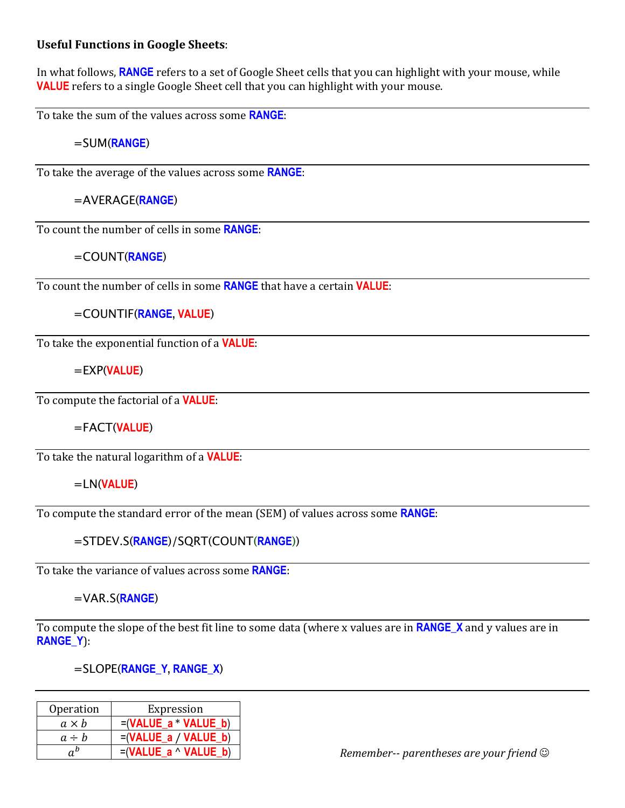## **Useful Functions in Google Sheets:**

In what follows, **RANGE** refers to a set of Google Sheet cells that you can highlight with your mouse, while **VALUE** refers to a single Google Sheet cell that you can highlight with your mouse.

To take the sum of the values across some **RANGE**:

=SUM(**RANGE**)

To take the average of the values across some **RANGE**:

=AVERAGE(**RANGE**)

To count the number of cells in some **RANGE**:

=COUNT(**RANGE**)

To count the number of cells in some **RANGE** that have a certain **VALUE**:

=COUNTIF(**RANGE, VALUE**)

To take the exponential function of a **VALUE**:

=EXP(**VALUE**)

To compute the factorial of a **VALUE**:

=FACT(**VALUE**)

To take the natural logarithm of a **VALUE**:

=LN(**VALUE**)

To compute the standard error of the mean (SEM) of values across some **RANGE**:

=STDEV.S(**RANGE**)/SQRT(COUNT(**RANGE**))

To take the variance of values across some **RANGE**:

=VAR.S(**RANGE**)

To compute the slope of the best fit line to some data (where x values are in **RANGE** X and y values are in **RANGE\_Y**):

=SLOPE(**RANGE\_Y, RANGE\_X**)

| Operation    | Expression                  |
|--------------|-----------------------------|
| $a \times b$ | $=(VALUE a * VALUE b)$      |
| $a \div b$   | $=(VALUE a / VALUE b)$      |
|              | $=(VALUE a \wedge VALUE b)$ |

*Remember-- parentheses are your friend*  $\odot$